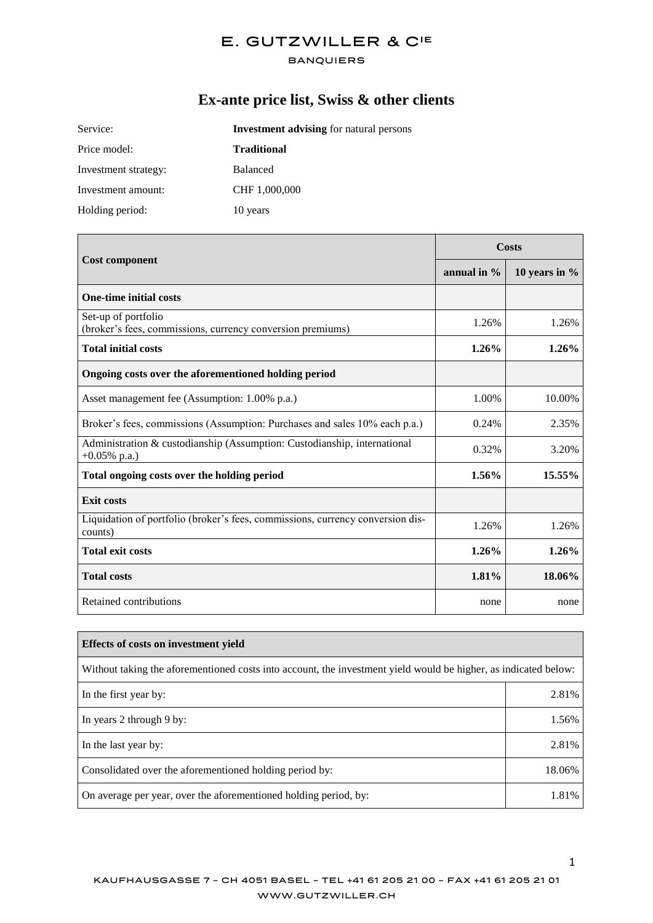#### **BANQUIERS**

# **Ex-ante price list, Swiss & other clients**

| Service:             | <b>Investment advising for natural persons</b> |  |
|----------------------|------------------------------------------------|--|
| Price model:         | <b>Traditional</b>                             |  |
| Investment strategy: | <b>Balanced</b>                                |  |
| Investment amount:   | CHF 1,000,000                                  |  |
| Holding period:      | 10 years                                       |  |

|                                                                                             | Costs          |                 |
|---------------------------------------------------------------------------------------------|----------------|-----------------|
| <b>Cost component</b>                                                                       | annual in $\%$ | 10 years in $%$ |
| <b>One-time initial costs</b>                                                               |                |                 |
| Set-up of portfolio<br>(broker's fees, commissions, currency conversion premiums)           | 1.26%          | 1.26%           |
| <b>Total initial costs</b>                                                                  | $1.26\%$       | 1.26%           |
| Ongoing costs over the aforementioned holding period                                        |                |                 |
| Asset management fee (Assumption: 1.00% p.a.)                                               | 1.00%          | 10.00%          |
| Broker's fees, commissions (Assumption: Purchases and sales 10% each p.a.)                  | 0.24%          | 2.35%           |
| Administration & custodianship (Assumption: Custodianship, international<br>$+0.05\%$ p.a.) | 0.32%          | 3.20%           |
| Total ongoing costs over the holding period                                                 | 1.56%          | 15.55%          |
| <b>Exit costs</b>                                                                           |                |                 |
| Liquidation of portfolio (broker's fees, commissions, currency conversion dis-<br>counts)   | 1.26%          | 1.26%           |
| <b>Total exit costs</b>                                                                     | 1.26%          | 1.26%           |
| <b>Total costs</b>                                                                          | $1.81\%$       | 18.06%          |
| Retained contributions                                                                      | none           | none            |

| Effects of costs on investment vield                                                                            |        |  |
|-----------------------------------------------------------------------------------------------------------------|--------|--|
| Without taking the aforementioned costs into account, the investment yield would be higher, as indicated below: |        |  |
| In the first year by:                                                                                           | 2.81%  |  |
| In years 2 through 9 by:                                                                                        | 1.56%  |  |
| In the last year by:                                                                                            | 2.81%  |  |
| Consolidated over the aforementioned holding period by:                                                         | 18.06% |  |
| On average per year, over the aforementioned holding period, by:                                                | 1.81%  |  |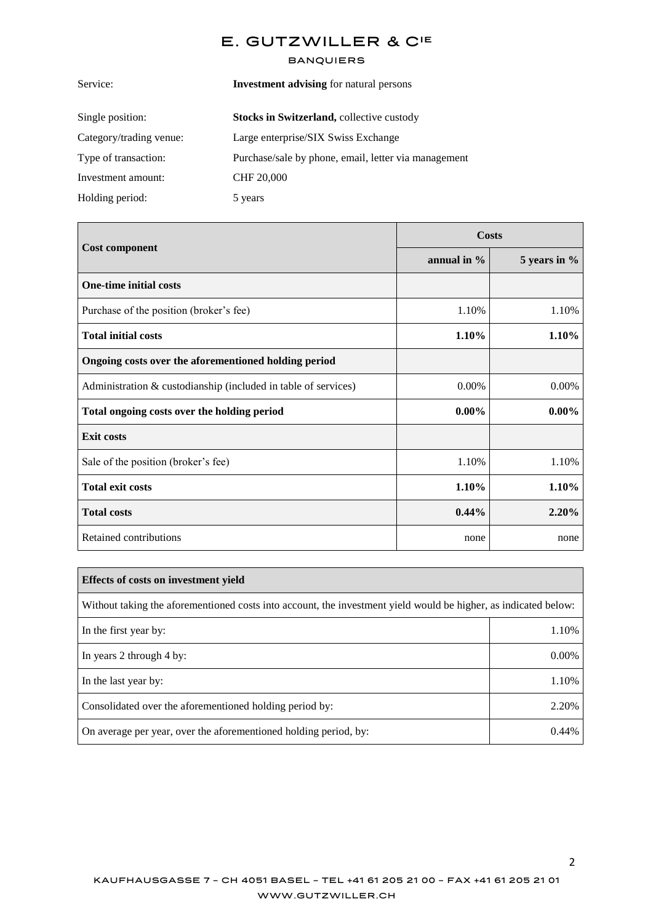| <b>Investment advising for natural persons</b>       |  |
|------------------------------------------------------|--|
| <b>Stocks in Switzerland, collective custody</b>     |  |
| Large enterprise/SIX Swiss Exchange                  |  |
| Purchase/sale by phone, email, letter via management |  |
| CHF 20,000                                           |  |
| 5 years                                              |  |
|                                                      |  |

|                                                                | <b>Costs</b>   |              |
|----------------------------------------------------------------|----------------|--------------|
| <b>Cost component</b>                                          | annual in $\%$ | 5 years in % |
| <b>One-time initial costs</b>                                  |                |              |
| Purchase of the position (broker's fee)                        | 1.10%          | 1.10%        |
| <b>Total initial costs</b>                                     | 1.10%          | 1.10%        |
| Ongoing costs over the aforementioned holding period           |                |              |
| Administration & custodianship (included in table of services) | 0.00%          | 0.00%        |
| Total ongoing costs over the holding period                    | $0.00\%$       | $0.00\%$     |
| <b>Exit costs</b>                                              |                |              |
| Sale of the position (broker's fee)                            | 1.10%          | 1.10%        |
| <b>Total exit costs</b>                                        | 1.10%          | 1.10%        |
| <b>Total costs</b>                                             | $0.44\%$       | 2.20%        |
| Retained contributions                                         | none           | none         |

| Effects of costs on investment yield                                                                            |       |  |
|-----------------------------------------------------------------------------------------------------------------|-------|--|
| Without taking the aforementioned costs into account, the investment yield would be higher, as indicated below: |       |  |
| In the first year by:                                                                                           | 1.10% |  |
| In years 2 through 4 by:                                                                                        | 0.00% |  |
| In the last year by:                                                                                            | 1.10% |  |
| Consolidated over the aforementioned holding period by:                                                         | 2.20% |  |
| On average per year, over the aforementioned holding period, by:                                                | 0.44% |  |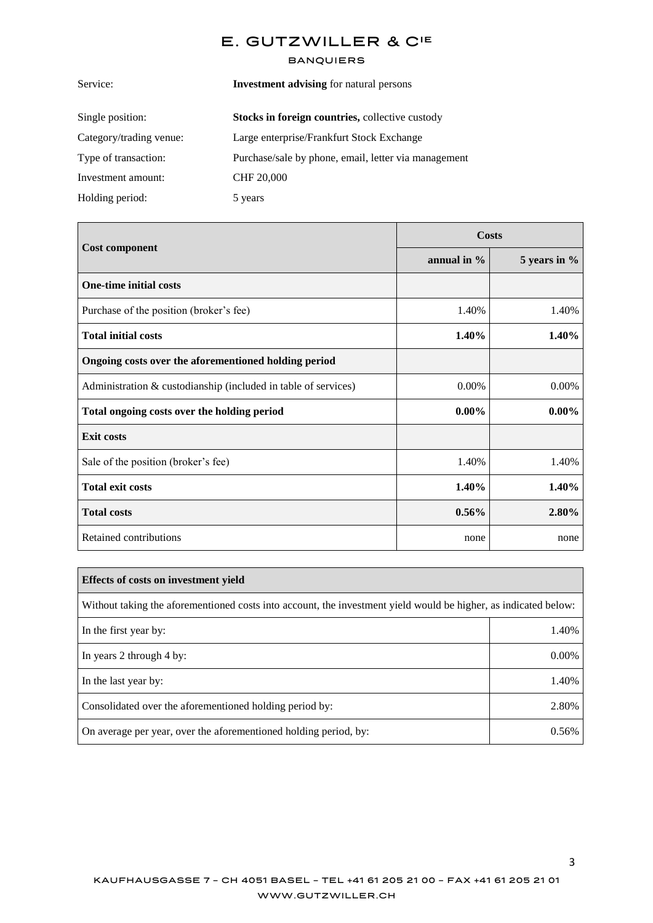| <b>Investment advising for natural persons</b>       |  |
|------------------------------------------------------|--|
|                                                      |  |
|                                                      |  |
| Purchase/sale by phone, email, letter via management |  |
|                                                      |  |
|                                                      |  |
|                                                      |  |

| <b>Cost component</b>                                          | <b>Costs</b> |              |
|----------------------------------------------------------------|--------------|--------------|
|                                                                | annual in %  | 5 years in % |
| <b>One-time initial costs</b>                                  |              |              |
| Purchase of the position (broker's fee)                        | 1.40%        | 1.40%        |
| <b>Total initial costs</b>                                     | 1.40%        | 1.40%        |
| Ongoing costs over the aforementioned holding period           |              |              |
| Administration & custodianship (included in table of services) | 0.00%        | 0.00%        |
| Total ongoing costs over the holding period                    | $0.00\%$     | $0.00\%$     |
| <b>Exit costs</b>                                              |              |              |
| Sale of the position (broker's fee)                            | 1.40%        | 1.40%        |
| <b>Total exit costs</b>                                        | 1.40%        | 1.40%        |
| <b>Total costs</b>                                             | $0.56\%$     | 2.80%        |
| Retained contributions                                         | none         | none         |

| <b>Effects of costs on investment yield</b>                                                                     |       |  |
|-----------------------------------------------------------------------------------------------------------------|-------|--|
| Without taking the aforementioned costs into account, the investment yield would be higher, as indicated below: |       |  |
| In the first year by:                                                                                           | 1.40% |  |
| In years 2 through 4 by:                                                                                        | 0.00% |  |
| In the last year by:                                                                                            | 1.40% |  |
| Consolidated over the aforementioned holding period by:                                                         | 2.80% |  |
| On average per year, over the aforementioned holding period, by:                                                | 0.56% |  |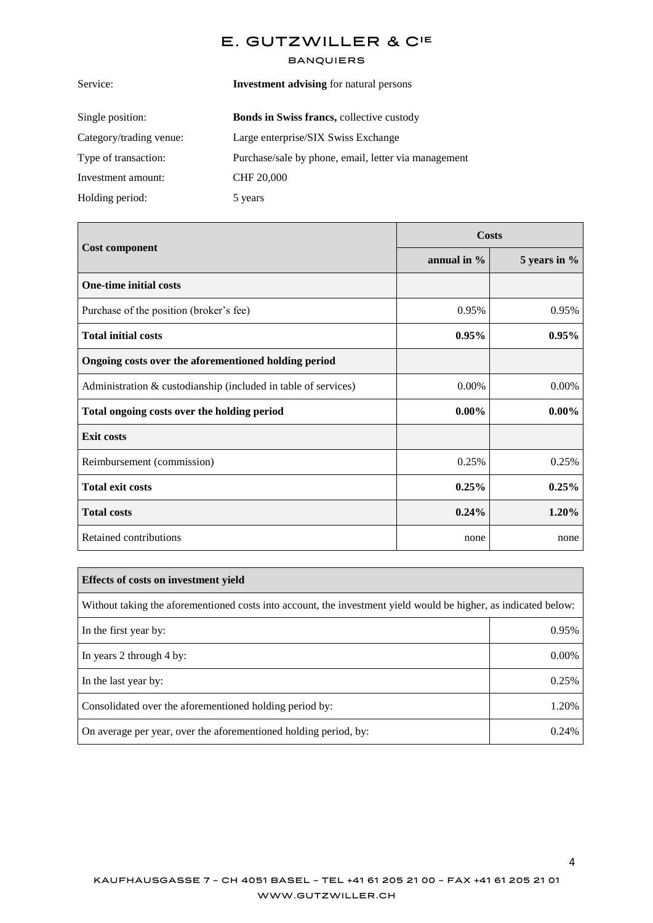| <b>Investment advising for natural persons</b>       |  |
|------------------------------------------------------|--|
| <b>Bonds in Swiss francs, collective custody</b>     |  |
| Large enterprise/SIX Swiss Exchange                  |  |
| Purchase/sale by phone, email, letter via management |  |
| <b>CHF 20,000</b>                                    |  |
| 5 years                                              |  |
|                                                      |  |

|                                                                | <b>Costs</b> |              |
|----------------------------------------------------------------|--------------|--------------|
| <b>Cost component</b>                                          | annual in %  | 5 years in % |
| <b>One-time initial costs</b>                                  |              |              |
| Purchase of the position (broker's fee)                        | 0.95%        | 0.95%        |
| <b>Total initial costs</b>                                     | $0.95\%$     | 0.95%        |
| Ongoing costs over the aforementioned holding period           |              |              |
| Administration & custodianship (included in table of services) | 0.00%        | 0.00%        |
| Total ongoing costs over the holding period                    | $0.00\%$     | $0.00\%$     |
| <b>Exit costs</b>                                              |              |              |
| Reimbursement (commission)                                     | 0.25%        | 0.25%        |
| <b>Total exit costs</b>                                        | 0.25%        | 0.25%        |
| <b>Total costs</b>                                             | $0.24\%$     | 1.20%        |
| Retained contributions                                         | none         | none         |

| <b>Effects of costs on investment yield</b>                                                                     |       |  |
|-----------------------------------------------------------------------------------------------------------------|-------|--|
| Without taking the aforementioned costs into account, the investment yield would be higher, as indicated below: |       |  |
| In the first year by:                                                                                           | 0.95% |  |
| In years 2 through 4 by:                                                                                        | 0.00% |  |
| In the last year by:                                                                                            | 0.25% |  |
| Consolidated over the aforementioned holding period by:                                                         | 1.20% |  |
| On average per year, over the aforementioned holding period, by:                                                | 0.24% |  |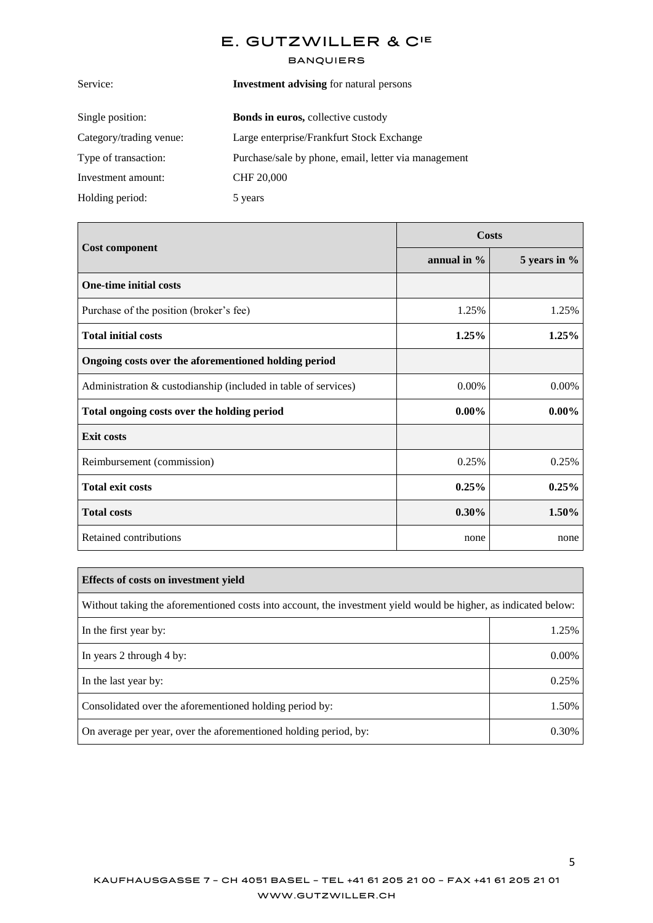| <b>Investment advising for natural persons</b>       |
|------------------------------------------------------|
| <b>Bonds in euros, collective custody</b>            |
| Large enterprise/Frankfurt Stock Exchange            |
| Purchase/sale by phone, email, letter via management |
| CHF 20,000                                           |
| 5 years                                              |
|                                                      |

|                                                                |                | Costs        |
|----------------------------------------------------------------|----------------|--------------|
| <b>Cost component</b>                                          | annual in $\%$ | 5 years in % |
| <b>One-time initial costs</b>                                  |                |              |
| Purchase of the position (broker's fee)                        | 1.25%          | 1.25%        |
| <b>Total initial costs</b>                                     | 1.25%          | 1.25%        |
| Ongoing costs over the aforementioned holding period           |                |              |
| Administration & custodianship (included in table of services) | 0.00%          | 0.00%        |
| Total ongoing costs over the holding period                    | $0.00\%$       | $0.00\%$     |
| <b>Exit costs</b>                                              |                |              |
| Reimbursement (commission)                                     | 0.25%          | 0.25%        |
| <b>Total exit costs</b>                                        | 0.25%          | 0.25%        |
| <b>Total costs</b>                                             | $0.30\%$       | 1.50%        |
| Retained contributions                                         | none           | none         |

| Effects of costs on investment yield                                                                            |       |  |  |
|-----------------------------------------------------------------------------------------------------------------|-------|--|--|
| Without taking the aforementioned costs into account, the investment yield would be higher, as indicated below: |       |  |  |
| In the first year by:                                                                                           | 1.25% |  |  |
| In years 2 through 4 by:                                                                                        | 0.00% |  |  |
| In the last year by:                                                                                            | 0.25% |  |  |
| Consolidated over the aforementioned holding period by:                                                         | 1.50% |  |  |
| On average per year, over the aforementioned holding period, by:                                                | 0.30% |  |  |